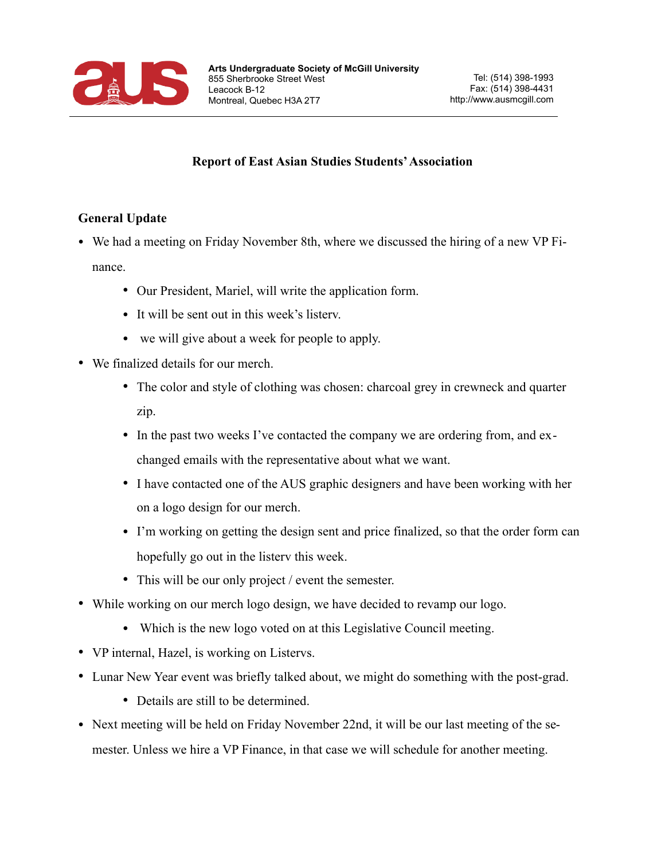

## **Report of East Asian Studies Students' Association**

## **General Update**

- We had a meeting on Friday November 8th, where we discussed the hiring of a new VP Finance.
	- Our President, Mariel, will write the application form.
	- It will be sent out in this week's listerv.
	- we will give about a week for people to apply.
- We finalized details for our merch.
	- The color and style of clothing was chosen: charcoal grey in crewneck and quarter zip.
	- In the past two weeks I've contacted the company we are ordering from, and exchanged emails with the representative about what we want.
	- I have contacted one of the AUS graphic designers and have been working with her on a logo design for our merch.
	- I'm working on getting the design sent and price finalized, so that the order form can hopefully go out in the listerv this week.
	- This will be our only project / event the semester.
- While working on our merch logo design, we have decided to revamp our logo.
	- Which is the new logo voted on at this Legislative Council meeting.
- VP internal, Hazel, is working on Listervs.
- Lunar New Year event was briefly talked about, we might do something with the post-grad.
	- Details are still to be determined.
- Next meeting will be held on Friday November 22nd, it will be our last meeting of the semester. Unless we hire a VP Finance, in that case we will schedule for another meeting.